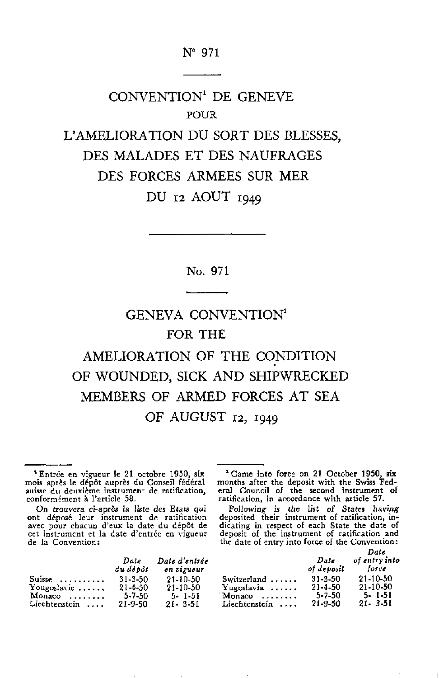N° 971

# CONVENTION<sup>1</sup> DE GENEVE POUR L'AMELIORATION DU SORT DES BLESSES, DES MALADES ET DES NAUFRAGES DES FORCES ARMEES SUR MER DU 12 AOUT 1949

No. 971

## GENEVA CONVENTION<sup>1</sup> FOR THE

# AMELIORATION OF THE CONDITION OF WOUNDED, SICK AND SHIPWRECKED MEMBERS OF ARMED FORCES AT SEA OF AUGUST 12, 1949

On trouvera ci-après la liste des Etats qui ont déposé leur instrument de ratification avec pour chacun d'eux la date du dépôt de cet instrument et la date d'entrée en vigueur de la Convention:

|               | Date<br>du dépôt | Date d'entrée<br>en vigueur |
|---------------|------------------|-----------------------------|
| Suisse        | $31 - 3 - 50$    | 21-10-50                    |
| Yougoslavie   | $21 - 4 - 50$    | 21-10-50                    |
| Monaco        | $5 - 7 - 50$     | $5 - 1 - 51$                |
| Liechtenstein | $21 - 9 - 50$    | $21 - 3 - 51$               |

1 Came into force on 21 October 1950, **six**  months after the deposit with the Swiss Fed eral Council of the second instrument of ratification, in accordance with article 57.

Following is the list of States having deposited their instrument of ratification, in dicating in respect of each State the date of deposit of the instrument of ratification and the date of entry into force of the Convention :

|                     | Date<br>ot deposit | Date<br>of entry into<br>force |
|---------------------|--------------------|--------------------------------|
| $Switeration$       | $31 - 3 - 50$      | $21 - 10 - 50$                 |
| Yugoslavia          | $21 - 4 - 50$      | 21-10-50                       |
| Monaco $\dots\dots$ | $5 - 7 - 50$       | $5 - 1 - 51$                   |
| Liechtenstein       | $21 - 9 - 50$      | $21 - 3 - 51$                  |

<sup>1</sup> Entrée en vigueur le 21 octobre 1950, six mois après le dépôt auprès du Conseil fédéral suisse du deuxième instrument de ratification, conformément à l'article 58.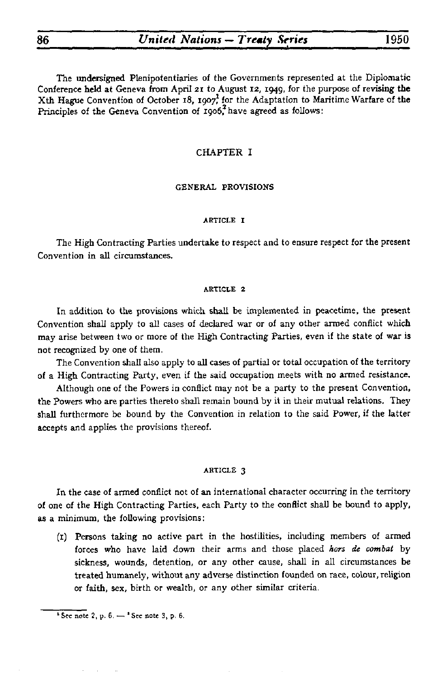### 86\_\_\_\_\_\_\_\_\_\_\_*United Nations* **—** *Tremty Stries*\_\_\_\_\_\_\_\_\_1950

The undersigned Plenipotentiaries of the Governments represented at the Diplomatic Conference held **at** Geneva **from** April **21** to August **12,** 1049, for the purpose of revising the Xth Hague Convention of October 18, 1907? for the Adaptation to Maritime Warfare of the Principles of the Geneva Convention of 1906, have agreed as follows:

#### CHAPTER I

#### **GENERAL PROVISIONS**

#### **ARTICLE I**

The High Contracting Parties undertake to respect and to ensure respect for the present Convention in all circumstances.

#### **ARTICLE 2**

In addition to the provisions which shall be implemented in peacetime, the present Convention shall apply to all cases of declared war or of any other armed conflict which may arise between two or more of the High Contracting Parties, even if the state of war is not recognized by one of them.

The Convention shall also apply to all cases of partial or total occupation of the territory of a High Contracting Party, even if the said occupation meets with no armed resistance.

Although one of the Powers in conflict may not be a party to the present Convention, the Powers who are parties thereto shall remain bound by it in their mutual relations. They shall furthermore be bound by the Convention in relation to the said Power, if the latter accepts and applies the provisions thereof.

#### ARTICLE 3

In the case of armed conflict not of an international character occurring in the territory of one of the High Contracting Parties, each Party to the conflict shall be bound to apply, as a minimum, the following provisions:

(i) Persons taking no active part in the hostilities, including members of armed forces who have laid down their arms and those placed *hors de combat* by sickness, wounds, detention, or any other cause, shall in all circumstances be treated humanely, without any adverse distinction founded on race, colour, religion or faith, sex, birth or wealth, or any other similar criteria.

 $*$  Sec note 2, p. 6.  $*$  Sec note 3, p. 6.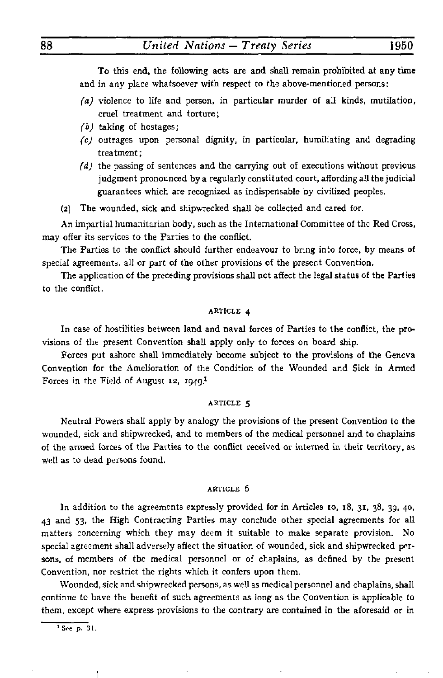To this end, the following acts are and shall remain prohibited at any time and in any place whatsoever with respect to the above-mentioned persons :

- *(a)* violence to life and **person, in particular murder of all kinds, mutilation,**  cruel treatment and **torture;**
- *(b)* taking of hostages;
- *(c)* outrages upon personal dignity, in particular, humiliating and degrading treatment ;
- *(à)* the passing of sentences and the carrying out of executions without previous judgment pronounced by a regularly constituted court, affording all the judicial guarantees which are recognized as indispensable by civilized peoples.
- (2) The wounded, sick and shipwrecked shall be collected and cared for.

An impartial humanitarian body, such as the International Committee of the Red Cross, may offer its services to the Parties to the conflict.

The Parties to the conflict should further endeavour to bring into force, by means of special agreements, all or part of the other provisions of the present Convention.

The application of the preceding provisions shall not affect the legal status of the Parties to the conflict.

#### **ARTICLE 4**

**In** case of hostilities between land and naval forces of Parties to the conflict, the pro visions of the present Convention shall apply only to forces on board ship.

Forces put ashore shall immediately become subject to the provisions of the Geneva Convention for the Amelioration of the Condition of the Wounded and Sick in Armed Forces in the Field of August 12, 1949.<sup>1</sup>

#### ARTICLE 5

Neutral Powers shall apply by analogy the provisions of the present Convention to the wounded, sick and shipwrecked, and to members of the medical personnel and to chaplains of the armed forces of the Parties to the conflict received or interned in their territory, as well as to dead persons found,

#### **ARTICLE 6**

In addition to the agreements expressly provided for in Articles 10, 18, 31, 38, 39, 40, 43 and 53, the High Contracting Parties may conclude other special agreements for all matters concerning which they may deem it suitable to make separate provision. No special agreement shall adversely affect the situation of wounded, sick and shipwrecked per sons, of members of the medical personnel or of chaplains, as defined by the present Convention, nor restrict the rights which it confers upon them.

Wounded, sick and shipwrecked persons, as well as medical personnel and chaplains, shall continue to have the benefit of such agreements as long as the Convention is applicable to them, except where express provisions to the contrary are contained in the aforesaid or in

ľ

 $\overline{^{1}$  Sre p. 31.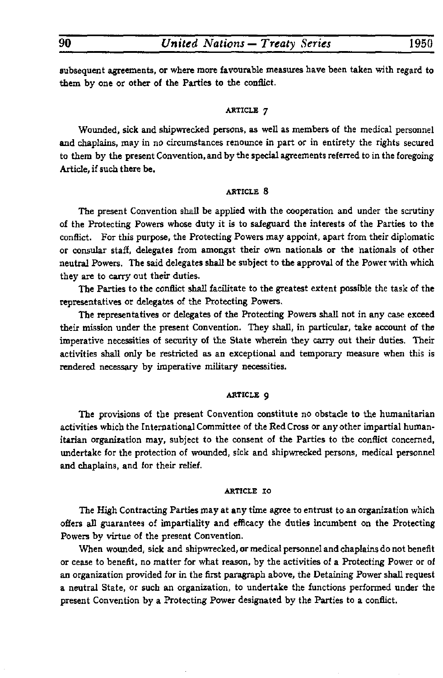subsequent agreements, or where more favourable measures have been taken with regard to them by one or other of the Parties to the conflict.

#### ARTICLE 7

Wounded, sick and shipwrecked persons, as well as members of the medical personnel and chaplains, may in no circumstances renounce in part or in entirety the rights secured to them by the present Convention, and by the special agreements referred to in the foregoing Article, if such there be.

#### ARTICLE 8

The present Convention shall be applied with the cooperation and under the scrutiny of the Protecting Powers whose duty it is to safeguard the interests of the Parties to the conflict. For this purpose, the Protecting Powers may appoint, apart from their diplomatic or consular staff, delegates from amongst their own nationals or the nationals of other neutral Powers. The said delegates shall be subject to the approval of the Power with which they are to carry out their duties.

The Parties to the conflict shall facilitate to the greatest extent possible the task of the representatives or delegates of the Protecting Powers.

The representatives or delegates of the Protecting Powers shall not in any case exceed their mission under the present Convention. They shall, in particular, take account of the imperative necessities of security of the State wherein they carry out their duties. Their activities shall only be restricted as an exceptional and temporary measure when this is rendered necessary by imperative military necessities.

#### ARTICLE 9

The provisions of the present Convention constitute no obstacle to the humanitarian activities which the International Committee of the Red Cross or any other impartial human itarian organization may, subject to the consent of the Parties to the conflict concerned, undertake for the protection of wounded, sick and shipwrecked persons, medical personnel and chaplains, and for their relief.

#### ARTICLE 10

The High Contracting Parties may at any time agree to entrust to an organization which offers all guarantees of impartiality and efficacy the duties incumbent on the Protecting Powers by virtue of the present Convention.

When wounded, sick and shipwrecked, or medical personnel and chaplains do not benefit or cease to benefit, no matter for what reason, by the activities of a Protecting Power or of an organization provided for in the first paragraph above, the Detaining Power shall request a neutral State, or such an organization, to undertake the functions performed under the present Convention by a Protecting Power designated by the Parties to a conflict.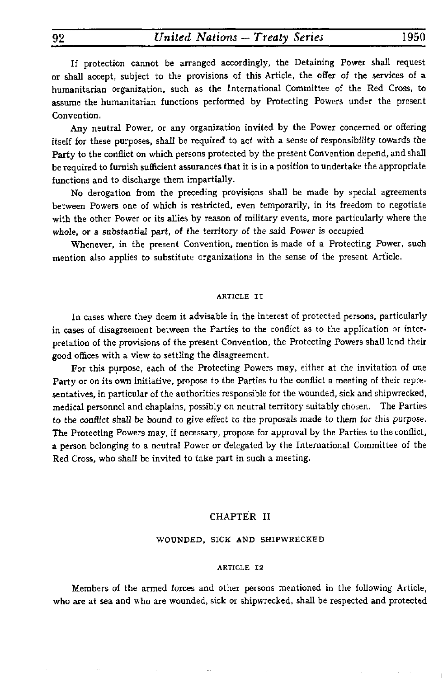If protection cannot be arranged accordingly, the Detaining Power shall request or shall accept, subject to the provisions of this Article, the offer of the services of a humanitarian organization, such as the International Committee of the Red Cross, to assume the humanitarian functions performed by Protecting Powers under the present Convention.

Any neutral Power, or any organization invited by the Power concerned or offering itself for these purposes, shall be required to act with a sense of responsibility towards the Party to the conflict on which persons protected by the present Convention depend, and shall be required to furnish sufficient assurances that it is in a position to undertake the appropriate functions and to discharge them impartially.

No derogation from the preceding provisions shall be made by special agreements between Powers one of which is restricted, even temporarily, in its freedom to negotiate with the other Power or its allies by reason of military events, more particularly where the whole, or a substantial part, of the territory of the said Power is occupied.

Whenever, in the present Convention, mention is made of a Protecting Power, such mention also applies to substitute organizations in the sense of the present Article.

#### ARTICLE II

In cases where they deem it advisable in the interest of protected persons, particularly in cases of disagreement between the Parties to the conflict as to the application or inter pretation of the provisions of the present Convention, the Protecting Powers shall lend their good offices with a view to settling the disagreement.

For this purpose, each of the Protecting Powers may, either at the invitation of one Party or on its own initiative, propose to the Parties to the conflict a meeting of their repre sentatives, in particular of the authorities responsible for the wounded, sick and shipwrecked, medical personnel and chaplains, possibly on neutral territory suitably chosen. The Parties to the conflict shall be bound to give effect to the proposals made to them for this purpose. The Protecting Powers may, if necessary, propose for approval by the Parties to the conflict, a person belonging to a neutral Power or delegated by the International Committee of the Red Cross, who shall be invited to take part in such a meeting.

#### CHAPTER II

#### WOUNDED, SICK AND SHIPWRECKED

#### ARTICLE 12

Members of the armed forces and other persons mentioned in the following Article, who are at sea and who are wounded, sick or shipwrecked, shall be respected and protected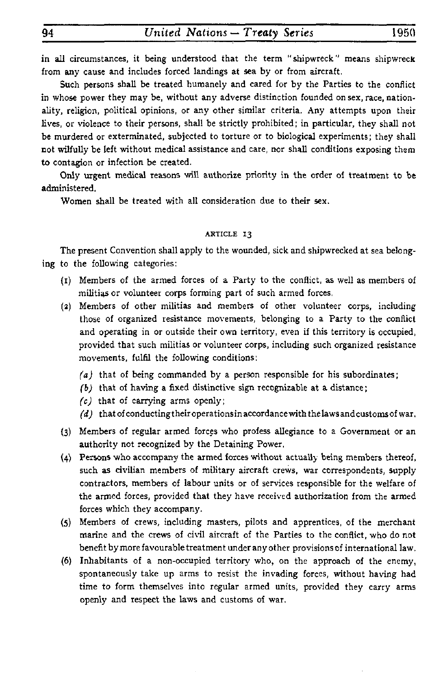in all circumstances, it being understood that the term "shipwreck" means shipwreck from any cause and includes forced landings at sea by or from aircraft.

Such persons shall be treated humanely and cared for by the Parties to the conflict in whose power they may be, without any adverse distinction founded on sex, race, nation ality, religion, political opinions, or any other similar criteria. Any attempts upon their lives, or violence to their persons, shall be strictly prohibited; in particular, they shall not be murdered or exterminated, subjected to torture or to biological experiments; they shall not wilfully be left without medical assistance and care, nor shall conditions exposing them to contagion or infection be created.

Only urgent medical reasons will authorize priority in the order of treatment to be administered.

Women shall be treated with all consideration due to their sex.

#### ARTICLE 13

The present Convention shall apply to the wounded, sick and shipwrecked at sea belong ing to the following categories:

- (1) Members of the armed forces of a Party to the conflict, as well as members of militias or volunteer corps forming part of such armed forces.
- (2) Members of other militias and members of other volunteer corps, including those of organized resistance movements, belonging to a Party to the conflict and operating in or outside their own territory, even if this territory is occupied, provided that such militias or volunteer corps, including such organized resistance movements, fulfil the following conditions:
	- *(a)* that of being commanded by a person responsible for his subordinates;
	- *(b)* that of having a fixed distinctive sign recognizable at a distance ;
	- *(c)* that of carrying arms openly;
	- *(d)* that ofconducting their operationsin accordance with the lawsand customsof war.
- (3) Members of regular armed forces who profess allegiance to a Government or an authority not recognized by the Detaining Power.
- (4) Persons who accompany the armed forces without actually being members thereof, such as civilian members of military aircraft crews, war correspondents, supply contractors, members of labour units or of services responsible for the welfare of the armed forces, provided that they have received authorization from the armed forces which they accompany.
- (5) Members of crews, including masters, pilots and apprentices, of the merchant marine and the crews of civil aircraft of the Parties to the conflict, who do not benefit by more favourable treatment under any other provisions of international law.
- {6} Inhabitants of a non-occupied territory who, on the approach of the enemy, spontaneously take up arms to resist the invading forces, without having had time to form themselves into regular armed units, provided they carry arms openly and respect the laws and customs of war.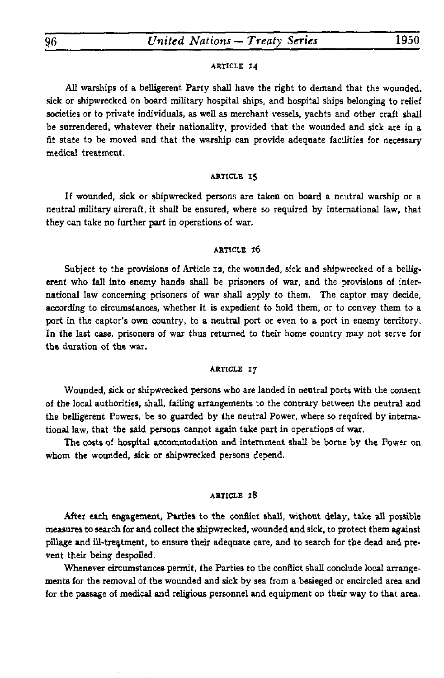AU warships of a belligerent Party shall have the right to demand that the wounded, sick or shipwrecked on board military hospital ships, and hospital ships belonging to relief societies or to private individuals, as well as merchant vessels, yachts and other craft shall be surrendered, whatever their nationality, provided that the wounded and sick are in a fit state to be moved and that the warship can provide adequate facilities for necessary medical treatment.

#### ARTICLE 15

If wounded, sick or shipwrecked persons are taken on board a neutral warship or a neutral military aircraft, it shall be ensured, where so required by international law, that they can take no further part in operations of war,

#### ARTICLE 16

Subject to the provisions of Article 12, the wounded, sick and shipwrecked of a bellig erent who fall into enemy hands shall be prisoners of war, and the provisions of inter national law concerning prisoners of war shall apply to them. The captor may decide, according to circumstances, whether it is expedient to hold them, or to convey them to a port in the captor's own country, to a neutral port or even to a port in enemy territory. In the last case, prisoners of war thus returned to their home country may not serve for the duration of the war.

#### ARTICLE 17

Wounded, sick or shipwrecked persons who are landed in neutral ports with the consent of the local authorities, shall, failing arrangements to the contrary between the neutral and the belligerent Powers, be so guarded by the neutral Power, where so required by interna tional law, that the said persons cannot again take part in operations of war.

The costs of hospital accommodation and internment shall be borne by the Power on whom the wounded, sick or shipwrecked persons depend.

#### ARTICLE 18

After each engagement, Parties to the conflict shall, without delay, take all possible measures to search for and collect the shipwrecked, wounded and sick, to protect them against pillage and ill-treatment, to ensure their adequate care, and to search for the dead and pre vent their being despoiled.

Whenever circumstances permit, the Parties to the conflict shall conclude local arrange ments for the removal of the wounded and sick by sea from a besieged or encircled area and for the passage of medical and religious personnel and equipment on their way to that area.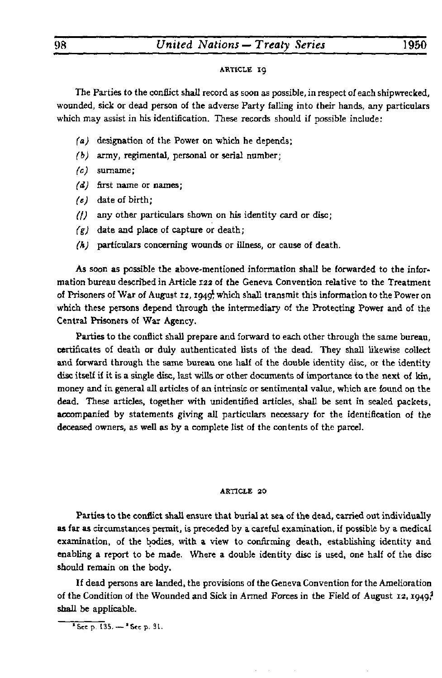The Parties to the conflict shall record as *soon* as possible, in respect of each shipwrecked, wounded, sick or dead person of the adverse Party falling into their hands, any particulars which may assist in his identification. These records should if possible include:

- *fa}* designation of the Power on which he depends;
- *(b)* army, regimental, personal or serial number;
- *(c)* surname;
- *(A)* first name or names;
- *(e)* date of birth;
- *(f)* any other particulars shown on his identity card or disc ;
- *(g)* date and place of capture or death ;
- *(h)* particulars concerning wounds or illness, or cause of death.

As soon as possible the above-mentioned information shall be forwarded to the infor mation bureau described in Article 122 of the Geneva Convention relative to the Treatment of Prisoners of War of August 12,1949} which shall transmit this information to the Power on which these persons depend through the intermediary of the Protecting Power and of the Central Prisoners of War Agency.

Parties to the conflict shall prepare and forward to each other through the same bureau, certificates of death or duly authenticated lists of the dead. They shall likewise collect and forward through the same bureau one half of the double identity disc, or the identity disc itself if it *is* a single disc, last wills or other documents of importance to the next of kin, money and in general all articles of an intrinsic or sentimental value, which are found on the dead. These articles, together with unidentified articles, shall be sent in sealed packets, accompanied by statements giving all particulars necessary for the identification of the deceased owners, as well as by a complete list of the contents of the parcel.

#### ARTICLE 20

Parties to the conflict shall ensure that burial at sea of the dead, carried out individually as far as circumstances permit, is preceded by a careful examination, if possible by a medical examination, of the bodies, with a view to confirming death, establishing identity and enabling a report to be made. Where a double identity disc is used, one half of the disc should remain on the body.

If dead persons are landed, the provisions of the Geneva Convention for the Amelioration of the Condition of the Wounded and Sick in Armed Forces in the Field of August 12, 1949. shall be applicable.

<sup>&#</sup>x27;Seep. 135,— 'Seep. 31.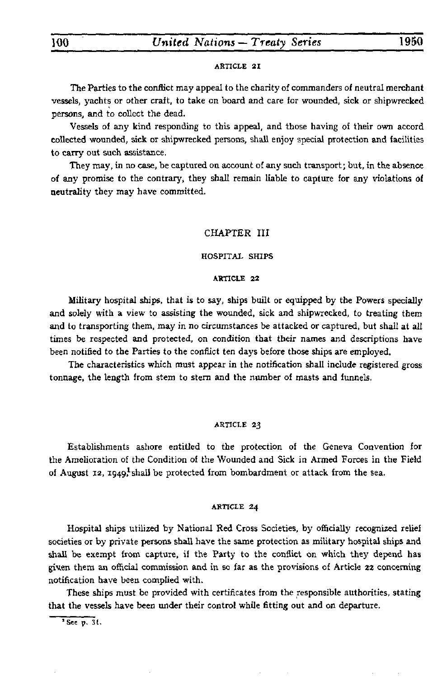The Parties to the conflict may appeal to the charity of commanders of neutral merchant vessels, yachts or other craft, to take on board and care for wounded, sick or shipwrecked persons, and to collect the dead.

Vessels of any kind responding to this appeal, and those having of their own accord collected wounded, sick or shipwrecked persons, shall enjoy special protection and facilities to carry out such assistance.

They may, in no case, be captured on account of any such transport; but, in the absence of any promise to the contrary, they shall remain liable to capture for any violations of neutrality they may have committed.

#### CHAPTER III

#### HOSPITAL SHIPS

#### ARTICLE 22

Military hospital ships, that is to say, ships built or equipped by the Powers specially and solely with a view to assisting the wounded, sick and shipwrecked, to treating them and to transporting them, may in no circumstances be attacked or captured, but shall at all times be respected and protected, on condition that their names and descriptions have been notified to the Parties to the conflict ten days before those ships are employed.

The characteristics which must appear in the notification shall include registered gross tonnage, the length from stem to stern and the number of masts and funnels.

#### ARTICLE **23**

Establishments ashore entitled to the protection of the Geneva Convention for the Amelioration of the Condition of the Wounded and Sick in Armed Forces in the Field of August 12, 1949,<sup>1</sup> shall be protected from bombardment or attack from the sea.

#### ARTICLE 24

Hospital ships utilized by National Red Cross Societies, by officially recognized relief societies or by private persons shall have the same protection as military hospital ships and shall be exempt from capture, if the Party to the conflict on which they depend has given them an official commission and in so far as the provisions of Article 22 concerning notification have been complied with.

These ships must be provided with certificates from the responsible authorities, stating that the vessels have been under their control while fitting out and on departure.

<sup>&#</sup>x27;Sec p. 31.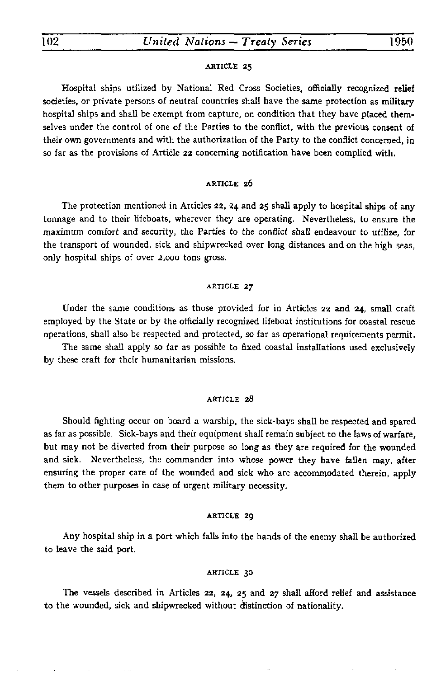Hospital ships utilized by National Red Cross Societies, officially recognized relief societies, or private persons of neutral countries shall have the same protection as military hospital ships and shall be exempt from capture, on condition that they have placed them selves under the control of one of the Parties to the conflict, with the previous consent of their own governments and with the authorization of the Party to the conflict concerned, in so far as the provisions of Article 22 concerning notification have been complied with.

#### ARTICLE 26

The protection mentioned in Articles 22, 24 and 25 shall apply to hospital ships of any tonnage and to their lifeboats, wherever they are operating. Nevertheless, to ensure the maximum comfort and security, the Parties to the conflict shall endeavour to utilize, for the transport of wounded, sick and shipwrecked over long distances and on the high seas, only hospital ships of over 2,000 tons gross,

#### ARTICLE 27

Under the same conditions as those provided for in Articles 22 and 24, small craft employed by the State or by the officially recognized lifeboat institutions for coastal rescue operations, shall also be respected and protected, so far as operational requirements permit.

The same shall apply so far as possible to fixed coastal installations used exclusively by these craft for their humanitarian missions.

#### ARTICLE 28

Should fighting occur on board a warship, the sick-bays shall be respected and spared as far as possible. Sick-bays and their equipment shall remain subject to the laws of warfare, but may not be diverted from their purpose so long as they are required for the wounded and sick. Nevertheless, the commander into whose power they have fallen may, after ensuring the proper care of the wounded and sick who are accommodated therein, apply them to other purposes in case of urgent military necessity.

#### ARTICLE **2g**

Any hospital ship in a port which falls into the hands of the enemy shall be authorized to leave the said port.

#### ARTICLE 30

The vessels described in Articles 22, 24, 25 and 27 shall afford relief and assistance to the wounded, sick and shipwrecked without distinction of nationality.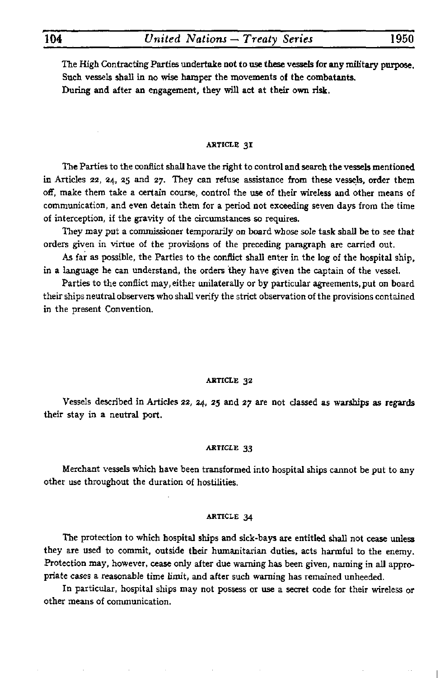The High Contracting Parties undertake not to use these vessels for any military purpose. Such vessels shall in no wise hamper the movements of the combatants. During and after an engagement, they will act at their own risk.

#### **ARTICLE 31**

The Parties to the conflict shall have the right to control and search the vessels mentioned in Articles 22, 44, 25 and 27. They can refuse assistance from these vessels, order them off, make them take a certain course, control the use of their wireless and other means of communication, and even detain them for a period not exceeding seven days from the time of interception, if the gravity of the circumstances so requires.

They may put a commissioner temporarily on board whose sole task shall be to see that orders given in virtue of the provisions of the preceding paragraph are carried out.

As far as possible, the Parties to the conflict shall enter in the log of the hospital ship, in a language he can understand, the orders they have given the captain of the vessel.

Parties to the conflict may, either unilaterally or by particular agreements, put on board their ships neutral observers who shall verify the strict observation of the provisions contained in the present Convention.

#### ARTICLE 32

Vessels described in Articles 22, 24, 25 and 27 are not classed as warships as regards their stay in a neutral port.

#### ARTICLE 33

Merchant vessels which have been transformed into hospital ships cannot be put to any other use throughout the duration of hostilities.

#### ARTICLE 34

The protection to which hospital ships and sick-bays are entitled shall not cease unless they are used to commit, outside their humanitarian duties, acts harmful to the enemy. Protection may, however, cease only after due warning has been given, naming in all appro priate cases a reasonable time limit, and after such warning has remained unheeded.

In particular, hospital ships may not possess or use a secret code for their wireless or other means of communication.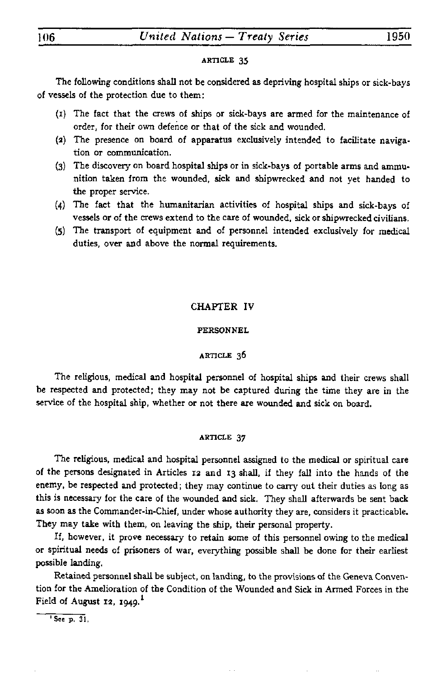The following conditions shall not be considered as depriving hospital ships or sick-bays of vessels of the protection due to them :

- (1) The fact that the crews of ships or sick-bays are armed for the maintenance of order, for their own defence or that of the sick and wounded.
- (2) The presence on board of apparatus exclusively intended to facilitate naviga tion or communication.
- (3) The discovery on board hospital ships or in sick-bays of portable arms and ammu nition taken from the wounded, sick and shipwrecked and not yet handed to the proper service.
- (4) The fact that the humanitarian activities of hospital ships and sick-bays of vessels or of the crews extend to the care of wounded, sick or shipwrecked civilians.
- (5) The transport of equipment and of personnel intended exclusively for medical duties, over and above the normal requirements.

#### CHAPTER IV

#### PERSONNEL

#### ARTICLE 36

The religious, medical and hospital personnel of hospital ships and their crews shall be respected and protected; they may not be captured during the time they are in the service of the hospital ship, whether or not there are wounded and sick on board,

#### ARTICLE 37

The religious, medical and hospital personnel assigned to the medical or spiritual care of the persons designated in Articles 12 and 13 shall, if they fall into the hands of the enemy, be respected and protected; they may continue to carry out their duties as long as this is necessary for the care of the wounded and sick. They shall afterwards be sent back as soon as the Commander-in-Chief, under whose authority they are, considers it practicable. They may take with them, on leaving the ship, their personal property.

If, however, it prove necessary to retain some of this personnel owing to the medical or spiritual needs of prisoners of war, everything possible shall be done for their earliest possible landing.

Retained personnel shall be subject, on landing, to the provisions of the Geneva Conven tion for the Amelioration of the Condition of the Wounded and Sick in Armed Forces in the Field of August 12, 1949.<sup>1</sup>

'See p, 31.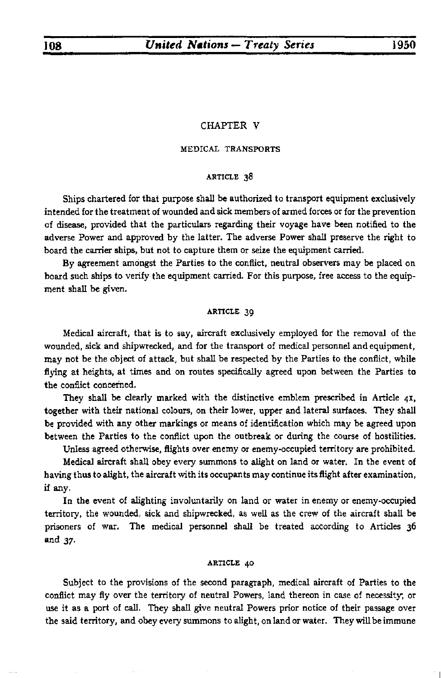#### CHAPTER V

#### MEDICAL TRANSPORTS

#### **ARTICLE 38**

Ships chartered for that purpose shall be authorized to transport equipment exclusively intended for the treatment of wounded and sick members of armed forces or for the prevention of disease, provided that the particulars regarding their voyage have been notified to the adverse Power and approved by the latter. The adverse Power shall preserve the right to board the carrier ships, but not to capture them or seize the equipment carried.

By agreement amongst the Parties to the conflict, neutral observers may be placed on board such ships to verify the equipment carried. For this purpose, free access to the equip ment shall be given.

#### ARTICLE 39

Medical aircraft, that is to say, aircraft exclusively employed for the removal of the wounded, sick and shipwrecked, and for the transport of medical personnel and equipment, may not be the object of attack, but shall be respected by the Parties to the conflict, while flying at heights, at times and on routes specifically agreed upon between the Parties to the conflict concerned.

They shall be clearly marked with the distinctive emblem prescribed in Article 41, together with their national colours, on their lower, upper and lateral surfaces. They shall be provided with any other markings or means of identification which may be agreed upon between the Parties to the conflict upon the outbreak or during the course of hostilities.

Unless agreed otherwise, flights over enemy or enemy-occupied territory are prohibited.

Medical aircraft shall obey every summons to alight on land or water. In the event of having thus to alight, the aircraft with its occupants may continue its flight after examination, if any.

In the event of alighting involuntarily on land or water in enemy or enemy-occupied territory, the wounded, sick and shipwrecked, as well as the crew of the aircraft shall be prisoners of war. The medical personnel shall be treated according to Articles 36 and **37.** 

#### **ARTICLE 40**

Subject to the provisions of the second paragraph, medical aircraft of Parties to the conflict may fly over the territory of neutral Powers, land thereon in case of necessity, or use it as a port of call. They shall give neutral Powers prior notice of their passage over the said territory, and obey every summons to alight, on land or **water.** They will be immune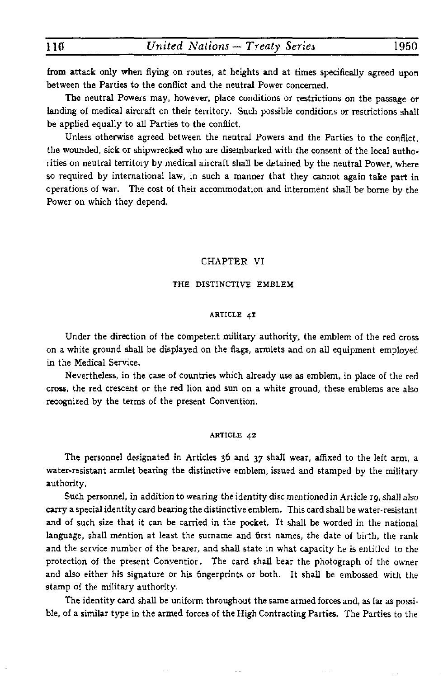from attack only when flying on routes, at heights and at times specifically agreed upon between the Parties to the conflict and the neutral Power concerned.

The neutral Powers may, however, place conditions or restrictions on the passage or landing of medical aircraft on their territory. Such possible conditions or restrictions shall be applied equally to all Parties to the conflict.

Unless otherwise agreed between the neutral Powers and the Parties to the conflict, the wounded, sick or shipwrecked who are disembarked with the consent of the local autho rities on neutral territory by medical aircraft shall be detained by the neutral Power, where so required by international law, in such a manner that they cannot again take part in operations of war. The cost of their accommodation and internment shall be borne by the Power on which they depend.

#### CHAPTER VI

#### THE DISTINCTIVE EMBLEM

#### ARTICLE 41

Under the direction of the competent military authority, the emblem of the red cross on a white ground shall be displayed on the flags, armlets and on all equipment employed in the Medical Service,

Nevertheless, in the case of countries which already use as emblem, in place of the red cross, the red crescent or the red lion and sun on a white ground, these emblems are also recognized by the terms of the present Convention.

#### ARTICLE 42

The personnel designated in Articles 36 and 37 shall wear, affixed to the left arm, a water-resistant armlet bearing the distinctive emblem, issued and stamped by the military authority.

Such personnel, in addition to wearing the identity disc mentioned in Article 19, shall also carry a special identity card bearing the distinctive emblem. This card shall be water-resistant and of such size that it can be carried in the pocket. It shall be worded in the national language, shall mention at least the surname and first names, the date of birth, the rank and the service number of the bearer, and shall state in what capacity he is entitled to the protection of the present Conventior. The card shall bear the photograph of the owner and also either his signature or his fingerprints or both. It shall be embossed with the stamp of the military authority.

The identity card shall be uniform throughout the same armed forces and, as far as possible, of a similar type in the armed forces of the High Contracting Parties. The Parties to the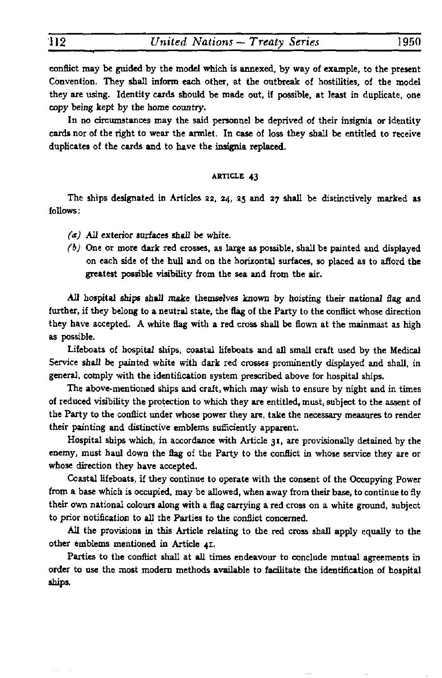conflict may be guided by the model which is annexed, by way of example, to the present Convention. They shall inform each other, at the outbreak of hostilities, of the model they are using. Identity cards should be made out, if possible, at least in duplicate, one copy being kept by the home country.

In no circumstances may the said personnel be deprived of their insignia or identity cards nor of the right to wear the armlet. In case of loss they shall be entitled to receive duplicates of the cards and to have the insignia replaced.

#### ARTICLE 43

The ships designated in Articles *12,* 24, 25 and 27 shall be distinctively marked as follows:

- *(a)* All exterior surfaces shall be white.
- *(b)* One or more dark red crosses, as large as possible, shall be painted and displayed on each side of the hull and on the horizontal surfaces, so placed as to afford the greatest possible visibility from the sea and from the air.

All hospital ships shall make themselves known by hoisting their national flag and further, if they belong to a neutral state, the flag of the Party to the conflict whose direction they have accepted. A white flag with a red cross shall be flown at the mainmast as high as possible.

Lifeboats of hospital ships, coastal lifeboats and all small craft used by the Medical Service shall be painted white with dark red crosses prominently displayed and shall, in general, comply with the identification system prescribed above for hospital ships.

The above-mentioned ships and craft, which may wish to ensure by night and in times of reduced visibility the protection to which they are entitled, must, subject to the assent of the Party to the conflict under whose power they are, take the necessary measures to render their painting and distinctive emblems sufficiently apparent.

Hospital ships which, in accordance with Article 31, are provisionally detained by the enemy, must haul down the flag of the Party to the conflict in whose service they are or whose direction they have accepted.

Coastal lifeboats, if they continue to operate with the consent of the Occupying Power from a base which is occupied, may be allowed, when away from their base, to continue to fly their own national colours along with a flag carrying a red cross on a white ground, subject to prior notification to all the Parties to the conflict concerned.

All the provisions in this Article relating to the red cross shall apply equally to the other emblems mentioned in Article 41.

Parties to the conflict shall at all times endeavour to conclude mutual agreements in order to use the most modern methods available to facilitate the identification of hospital ships.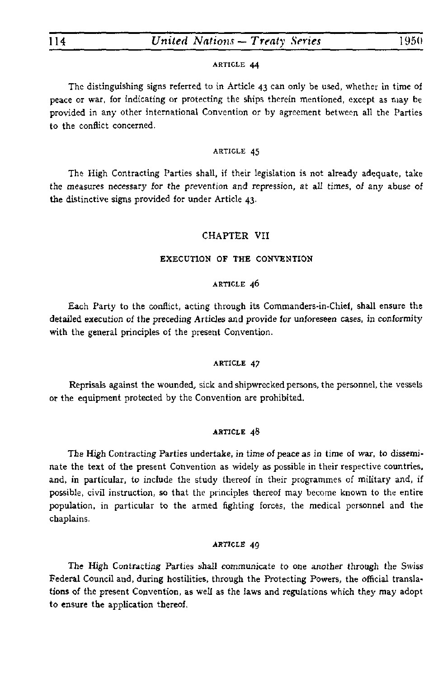The distinguishing signs referred tu in Article 43 can only be used, whether in time of peace or war, for indicating or protecting the ships therein mentioned, except as may be provided in any other international Convention or by agreement between all the Parties to the conflict concerned.

#### ARTICLE 45

The High Contracting Parties shall, if their legislation is not already adequate, take the measures necessary for the prevention and repression, at all times, of any abuse of the distinctive signs provided for under Article 43.

#### CHAPTER VII

#### EXECUTION OF THE CONVENTION

#### ARTICLE 46

Each Party to the conflict, acting through its Commanders-in-Chief, shall ensure the detailed execution of the preceding Articles and provide for unforeseen cases, in conformity with the general principles of the present Convention.

#### ARTICLE 47

Reprisals against the wounded, sick and shipwrecked persons, the personnel, the vessels or the equipment protected by the Convention are prohibited.

#### ARTICLE 48

The High Contracting Parties undertake, in time of peace as in time of war, to dissemi nate the text of the present Convention as widely as possible in their respective countries, and, in particular, to include the study thereof in their programmes of military and, if possible, civil instruction, so that the principles thereof may become known to the entire population, in particular to the armed fighting forces, the medical personnel and the chaplains.

#### ARTICLE 49

The High Contracting Parties shall communicate to one another through the Swiss Federal Council and, during hostilities, through the Protecting Powers, the official transla tions of the present Convention, as well as the laws and regulations which they may adopt to ensure the application thereof.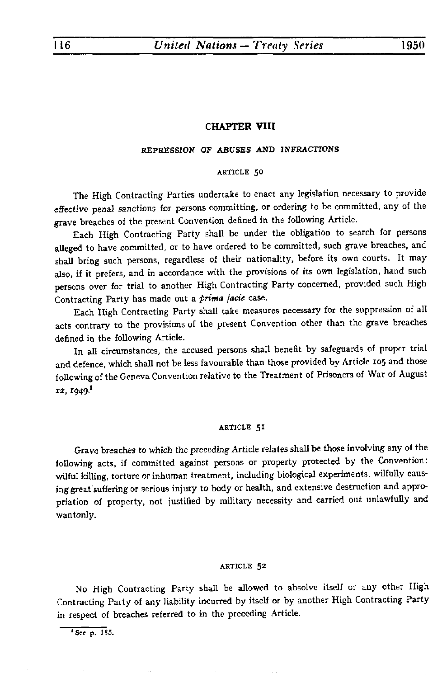### CHAPTER **VIII**

#### REPRESSION OF ABUSES AND INFRACTIONS

#### ARTICLE 50

The High Contracting Parties undertake to enact any legislation necessary to provide effective penal sanctions for persons committing, or ordering to be committed, any of the grave breaches of the present Convention denned in the following Article.

Each High Contracting Party shall be under the obligation to search for persons alleged to have committed, or to have ordered to be committed, such grave breaches, and shall bring such persons, regardless **of** their nationality, before its own courts. It may also, if it prefers, and in accordance with the provisions of its own legislation, hand such persons over for trial to another High Contracting Party concerned, provided such High Contracting Party has made out a *prima fade* case.

Each High Contracting Party shall take measures necessary for the suppression of all acts contrary to the provisions of the present Convention other than the grave breaches defined in the following Article.

In all circumstances, the accused persons shall benefit by safeguards of proper trial and defence, which shall not be less favourable than those provided by Article 105 and those following of the Geneva Convention relative to the Treatment of Prisoners of War of August 12, 1949.<sup>1</sup>

#### **ARTICLE 51**

Grave breaches to which the preceding Article relates shall be those involving any of the following acts, if committed against persons or property protected by the Convention: wilful killing, torture or inhuman treatment, including biological experiments, wilfully caus ing great suffering or serious injury to body or health, and extensive destruction and appro priation of property, not justified by military necessity and carried out unlawfully and wantonly.

#### ARTICLE 52

No High Contracting Party shall be allowed to absolve itself or any other High Contracting Party of any liability incurred by itself or by another High Contracting Party in respect of breaches referred to in the preceding Article.

 $3$  See p. 135.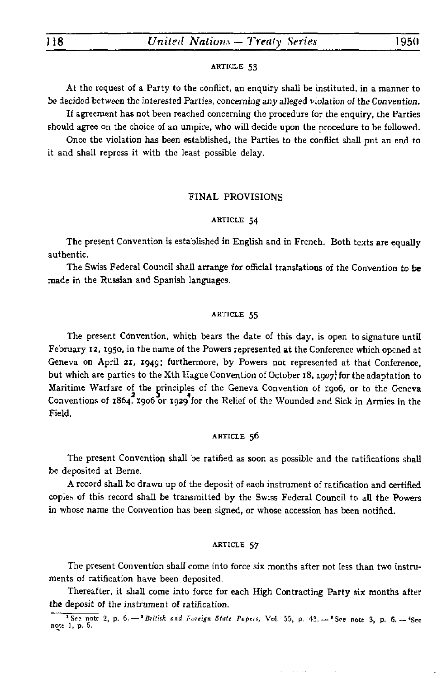At the request of a Party to the conflict, an enquiry shall be instituted, in a manner to be decided between the interested Parties, concerning any alleged violation of the Convention.

If agreement has not been reached concerning the procedure for the enquiry, the Parties should agree on the choice of an umpire, who will decide upon the procedure to be followed.

Once the violation has been established, the Parties to the conflict shall put an end to it and shall repress it with the least possible delay.

#### FINAL PROVISIONS

#### **ARTICLE 54**

The present Convention is established in English and in French. Both texts are equally authentic.

The Swiss Federal Council shall arrange for official translations of the Convention to be made in the Russian and Spanish languages.

#### ARTICLE **55**

The present Convention, which bears the date of this day, is open to signature until February 12, 1950, in the name of the Powers represented at the Conference which opened at Geneva on April 21, 1949; furthermore, by Powers not represented at that Conference, but which are parties to the Xth Hague Convention of October 18, 1907? for the adaptation to Maritime Warfare of the principles of the Geneva Convention of 1906, or to the Geneva<br>Conventions of 1864, 1906 or 1929 for the Relief of the Wounded and Sick in Armies in the Field.

#### **ARTICLE 56**

The present Convention shall be ratified as soon as possible and the ratifications shall be deposited at Berne.

A record shall be drawn up of the deposit of each instrument of ratification and certified copies of this record shall be transmitted by the Swiss Federal Council to all the Powers in whose name the Convention has been signed, or whose accession has been notified.

#### ARTICLE 57

The present Convention shall come into force six months after not less than two instru ments of ratification have been deposited.

Thereafter, it shall come into force for each High Contracting Party six months after the deposit of the instrument of ratification.

<sup>&#</sup>x27;Sec note 2, p. 6.— *'British and Foreign State Papers,* Vo!, 55, p. 43,—'Sec note 3, p. 6. — 'See note 1, p. 6.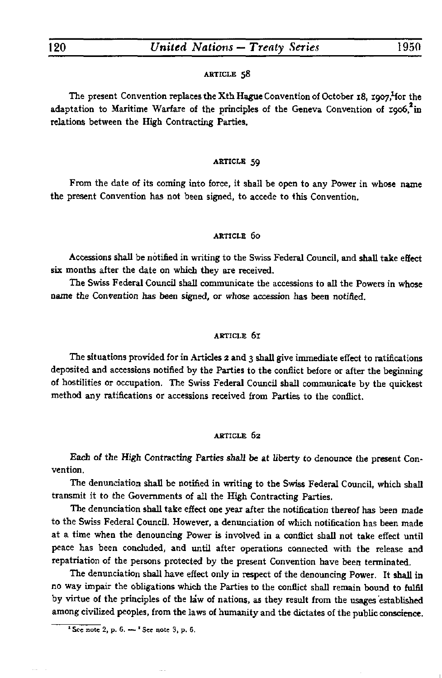The present Convention replaces the Xth Hague Convention of October 18, 1907,<sup>1</sup> for the adaptation to Maritime Warfare of the principles of the Geneva Convention of 1906,<sup>2</sup> in relations between the High Contracting Parties.

#### ARTICLE 59

From the date of its coming into force, it shall be open to any Power in whose name the present Convention has not been signed, to accede to this Convention.

#### ARTICLE 60

Accessions shall be notified in writing to the Swiss Federal Council, and shall take effect six months after the date on which they are received.

The Swiss Federal Council shall communicate the accessions to all the Powers in whose name the Convention has been signed, or whose accession has been notified.

#### ARTICLE 61

The situations provided for in Articles *2* and 3 shall give immediate effect to ratifications deposited and accessions notified by the Parties to the conflict before or after the beginning of hostilities or occupation. The Swiss Federal Council shall communicate by the quickest method any ratifications or accessions received from Parties to the conflict.

#### ARTICLE 62

Each of the High Contracting Parties shall be at liberty to denounce the present Con vention.

The denunciation shall be notified in writing to the Swiss Federal Council, which shall transmit it to the Governments of all the High Contracting Parties.

The denunciation shall take effect one year after the notification thereof has been made to the Swiss Federal Council. However, a denunciation of which notification has been made at a time when the denouncing Power is involved in a conflict shall not take effect until peace has been concluded, and until after operations connected with the release and repatriation of the persons protected by the present Convention have been terminated.

The denunciation shall have effect only in respect of the denouncing Power. It shall in no way impair the obligations which the Parties to the conflict shall remain bound to fulfil by virtue of the principles of the law of nations, as they result from the usages established among civilized peoples, from the laws of humanity and the dictates of the public conscience.

 $1$  See note 2, p. 6.  $3$  See note 3, p. 6.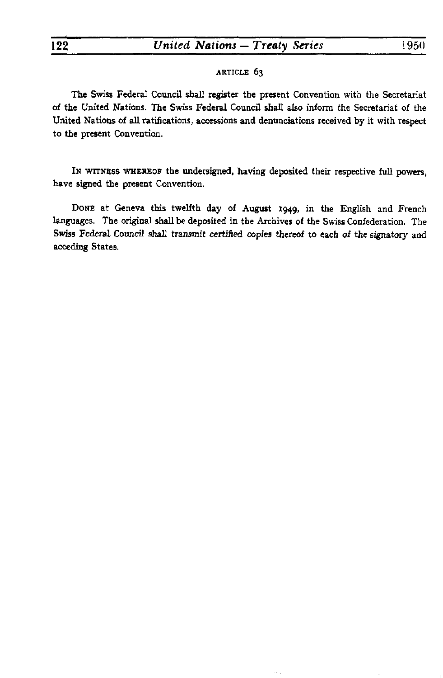The Swiss Federal Council shall register the present Convention with the Secretariat of the United Nations. The Swiss Federal Council shall also inform the Secretariat of the United Nations of all ratifications, accessions and denunciations received by it with respect to the present Convention.

IN WITNESS WHEREOF the undersigned, having deposited their respective full powers, have signed the present Convention.

DONE at Geneva this twelfth day of August 1949, in the English and French languages. The original shall be deposited in the Archives of the Swiss Confederation. The Swiss Federal Council shall transmit certified copies thereof to each of the signatory and acceding States.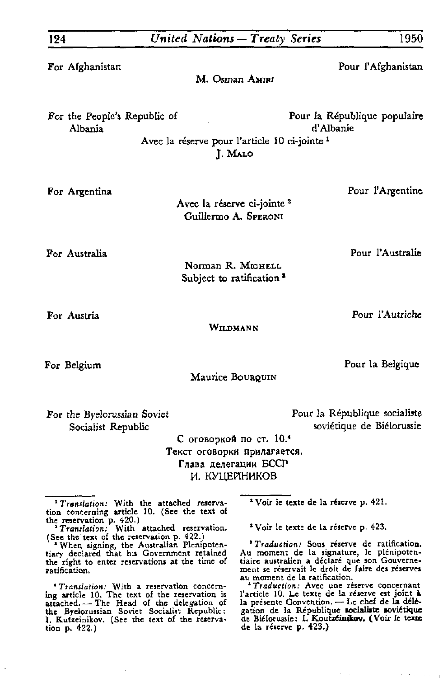| 124                                               | United Nations - Treaty Series                                                                  |           | 1950                                                       |
|---------------------------------------------------|-------------------------------------------------------------------------------------------------|-----------|------------------------------------------------------------|
| For Afghanistan                                   | M. Osman AMIRI                                                                                  |           | Pour l'Afghanistan                                         |
| For the People's Republic of<br>Albania           | Avec la réserve pour l'article 10 ci-jointe 1<br>J. MALO                                        | d'Albanie | Pour la République populaire                               |
| For Argentina                                     | Avec la réserve ci-jointe <sup>2</sup><br>Guillermo A. SPERONI                                  |           | Pour l'Argentine                                           |
| For Australia                                     | Norman R. MIGHELL<br>Subject to ratification <sup>1</sup>                                       |           | Pour l'Australie                                           |
| For Austria                                       | WILDMANN                                                                                        |           | Pour l'Autriche                                            |
| For Belgium                                       | Maurice Bounquin                                                                                |           | Pour la Belgique                                           |
| For the Byelorussian Soviet<br>Socialist Republic | С оговоркой по ст. 10.4<br>Текст оговорки прилагается.<br>Глава делегации БССР<br>И. КУЦЕЙНИКОВ |           | Pour la République socialiste<br>soviétique de Biélorussie |

tion concerning article 10. (Sec the text of the reservation p. 420.) \* *Translation :* With attached reservation. \*Voir le texte de la réserve p. 423.

tiary declared that his Government retained Au moment de la signature, le plénipoten

Inguality of the Extreme of the delegation of la présente Convention. — Le chef de la délé-<br>the Byelorussian Soviet Socialist Republic: gation de la République nocialiste poviétique<br>1. Kufzeinikov. (See the text of the res

(See the'text of the reservation p. 422.) \* When signing, the Australian Plenipoten \* *Traduction:* Sous réserve de ratification. the right to enter reservations at the time of tiaire australien a déclaré que son Gouverne-<br>ratification. ment se réservait le droit de faire des réserves au moment de la ratification.<br>\* Traduction: Avec une réserve concernant

<sup>4</sup> Translation: With a reservation concern-<br>ing article 10. The text of the reservation is l'article 10. Le texte de la réserve concernant<br>article 10. The Head of the delegation of la présente Convention. — Le chef de la

man and an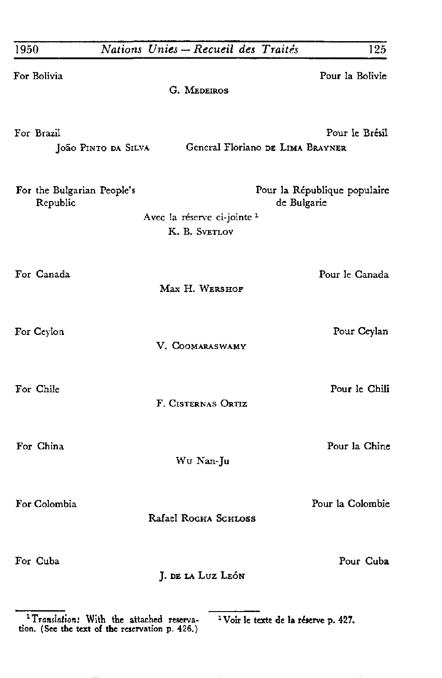| 1950                                            |                                                      | Nations Unies - Recueil des Traités                     |                                                  | 125                          |
|-------------------------------------------------|------------------------------------------------------|---------------------------------------------------------|--------------------------------------------------|------------------------------|
| For Bolivia                                     |                                                      | G. MEDEIROS                                             |                                                  | Pour la Bolivie              |
| For Brazil                                      | João PINTO DA SILVA                                  |                                                         | General Floriano DE LIMA BRAYNER                 | Pour le Brésil               |
| For the Bulgarian People's<br>Republic          |                                                      | Avec la réserve ci-jointe <sup>1</sup><br>K. B. SVETLOV | de Bulgarie                                      | Pour la République populaire |
| For Canada                                      |                                                      | Max H. WERSHOF                                          |                                                  | Pour le Canada               |
| For Ceylon                                      |                                                      | V. COOMARASWAMY                                         |                                                  | Pour Ceylan                  |
| For Chile                                       |                                                      | F. CISTERNAS ORTIZ                                      |                                                  | Pour le Chili                |
| For China                                       |                                                      | Wu Nan-Ju                                               |                                                  | Pour la Chine                |
| For Colombia                                    |                                                      | Rafael ROCHA SCHLOSS                                    |                                                  | Pour la Colombie             |
| For Cuba                                        |                                                      | J. DE LA LUZ LEÓN                                       |                                                  | Pour Cuba                    |
| tion. (See the text of the reservation p. 426.) | <sup>1</sup> Translation: With the attached reserva- |                                                         | <sup>1</sup> Voir le texte de la réserve p. 427. |                              |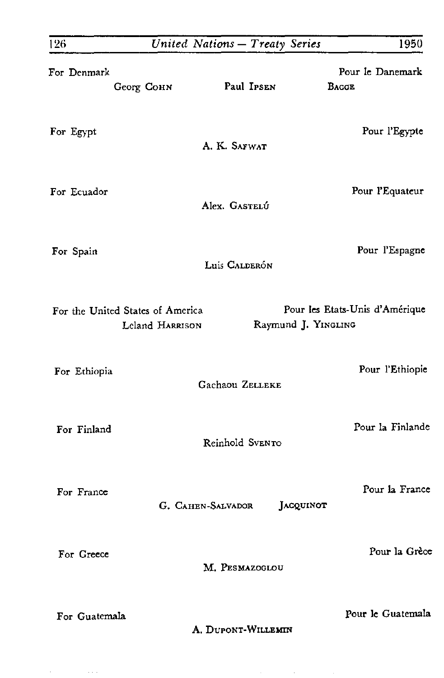| 126           |                                                            | United Nations - Treaty Series |            |                     | 1950                             |
|---------------|------------------------------------------------------------|--------------------------------|------------|---------------------|----------------------------------|
| For Denmark   | Georg COHN                                                 |                                | Paul IPSEN |                     | Pour le Danemark<br><b>BAGGE</b> |
| For Egypt     |                                                            | A. K. SAFWAT                   |            |                     | Pour l'Egypte                    |
| For Ecuador   |                                                            | Alex. GASTELU                  |            |                     | Pour l'Equateur                  |
| For Spain     |                                                            | Luis CALDERÓN                  |            |                     | Pour l'Espagne                   |
|               | For the United States of America<br><b>Leland HARRISON</b> |                                |            | Raymund J. YINGLING | Pour les Etats-Unis d'Amérique   |
| For Ethiopia  |                                                            | Gachaou ZELLEKE                |            |                     | Pour l'Ethiopie                  |
| For Finland   |                                                            | Reinhold SVENTO                |            |                     | Pour la Finlande                 |
| For France    |                                                            | G. CAHEN-SALVADOR              |            | JACQUINOT           | Pour la France                   |
| For Greece    |                                                            | M. PESMAZOGLOU                 |            |                     | Pour la Grèce                    |
| For Guatemala |                                                            | A. DUPONT-WILLEMIN             |            |                     | Pour le Guatemala                |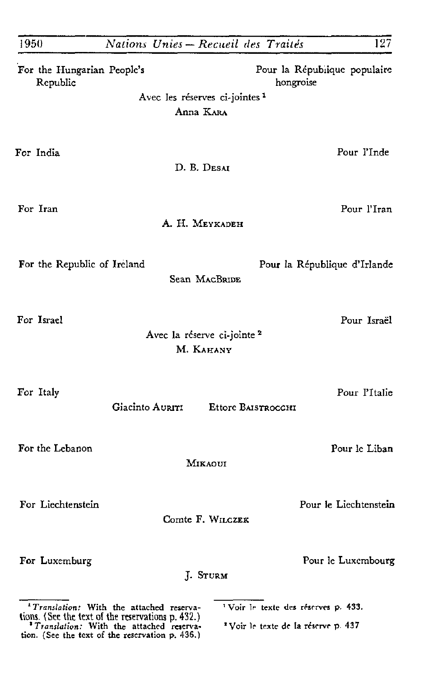| 1950 |                                                                                                                                                              | Nations Unies - Recueil des Traités |                                                        |                                                 | 127                   |
|------|--------------------------------------------------------------------------------------------------------------------------------------------------------------|-------------------------------------|--------------------------------------------------------|-------------------------------------------------|-----------------------|
|      | For the Hungarian People's<br>Republic                                                                                                                       |                                     |                                                        | Pour la République populaire<br>hongroise       |                       |
|      |                                                                                                                                                              |                                     | Avec les réserves ci-jointes <sup>1</sup><br>Anna KARA |                                                 |                       |
|      | For India                                                                                                                                                    |                                     | D. B. DESAI                                            |                                                 | Pour l'Inde           |
|      | For Iran                                                                                                                                                     |                                     | A. H. MEYKADEH                                         |                                                 | Pour l'Iran           |
|      | For the Republic of Ireland                                                                                                                                  |                                     | Sean MACBRIDE                                          | Pour la République d'Irlande                    |                       |
|      | For Israel                                                                                                                                                   |                                     | Avec la réserve ci-jointe <sup>2</sup><br>M. KAHANY    |                                                 | Pour Israël           |
|      | For Italy                                                                                                                                                    | Giacinto AURITI                     |                                                        | Ettore BAISTROCCHI                              | Pour l'Italie         |
|      | For the Lebanon                                                                                                                                              |                                     | MIKAOUI                                                |                                                 | Pour le Liban         |
|      | For Liechtenstein                                                                                                                                            |                                     | Comte F. WILCZEK                                       |                                                 | Pour le Liechtenstein |
|      | For Luxemburg                                                                                                                                                |                                     | J. STURM                                               |                                                 | Pour le Luxembourg    |
|      | <sup>1</sup> Translation: With the attached reserva-                                                                                                         |                                     |                                                        | <sup>1</sup> Voir le texte des réserves p. 433. |                       |
|      | tions. (See the text of the reservations p. 432.)<br><sup>2</sup> Translation: With the attached reserva-<br>tion. (See the text of the reservation p. 436.) |                                     |                                                        | <sup>2</sup> Voir le texte de la réserve p. 437 |                       |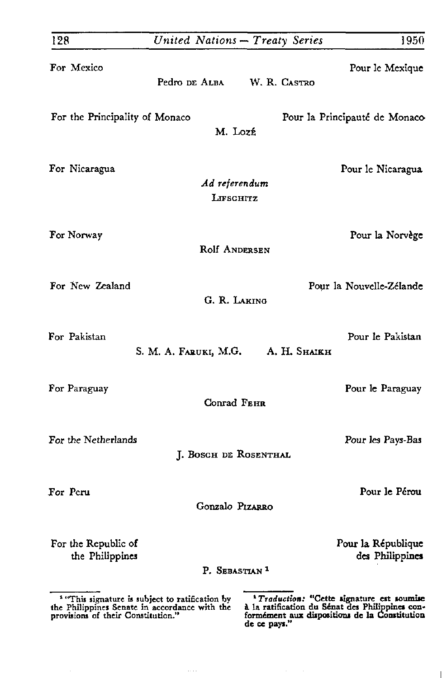| 128                                    | United Nations - Treaty Series        | 1950                                  |
|----------------------------------------|---------------------------------------|---------------------------------------|
| For Mexico                             | Pedro DE ALBA<br>W. R. CASTRO         | Pour le Mexique                       |
| For the Principality of Monaco         | M. Lozź                               | Pour la Principauté de Monaco         |
| For Nicaragua                          | Ad referendum<br>LIFSCHITZ            | Pour le Nicaragua                     |
| For Norway                             | Rolf ANDERSEN                         | Pour la Norvège                       |
| For New Zealand                        | G. R. LAKING                          | Pour la Nouvelle-Zélande              |
| For Pakistan                           | S. M. A. FARUKI, M.G.<br>A. H. Sнаіки | Pour le Pakistan                      |
| For Paraguay                           | Conrad FEHR                           | Pour le Paraguay                      |
| For the Netherlands                    | J. BOSCH DE ROSENTHAL                 | Pour les Pays-Bas                     |
| For Peru                               | Gonzalo PIZARRO                       | Pour le Pérou                         |
| For the Republic of<br>the Philippines | P. SEBASTIAN <sup>1</sup>             | Pour la République<br>des Philippines |

<sup>&</sup>lt;sup>1</sup> "This signature is subject to ratification by the Philippines Senate in accordance with the provisions of their Constitution."

 $\hat{z}_i$  ,  $\hat{z}_j$ 

 $\bar{z}$ 

k,  $\sim$ 

<sup>&</sup>lt;sup>1</sup> "This signature is subject to ratification by <sup>1</sup> *Traduction:* "Cette signature est soumise provisions of their Constitution." **formement aux dispositions de la Constitution** de ce pays."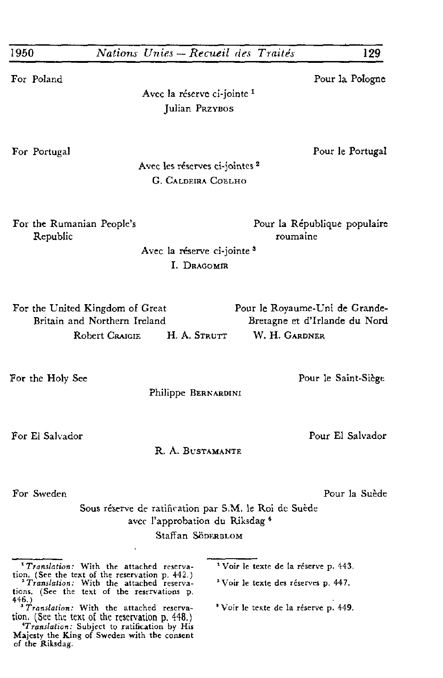|                                                                 | Avec la réserve ci-jointe <sup>1</sup>    |                                                                 |
|-----------------------------------------------------------------|-------------------------------------------|-----------------------------------------------------------------|
|                                                                 | Julian Przysos                            |                                                                 |
| For Portugal                                                    |                                           | Pour le Portugal                                                |
|                                                                 | Avec les réserves ci-jointes <sup>2</sup> |                                                                 |
|                                                                 | G. CALDEIRA COELHO                        |                                                                 |
| For the Rumanian People's<br>Republic                           |                                           | Pour la République populaire<br>roumaine                        |
|                                                                 | Avec la réserve ci-jointe <sup>3</sup>    |                                                                 |
|                                                                 | I. DRAGOMIR                               |                                                                 |
|                                                                 |                                           |                                                                 |
| For the United Kingdom of Great<br>Britain and Northern Ireland |                                           | Pour le Royaume-Uni de Grande-<br>Bretagne et d'Irlande du Nord |
| Robert Craigie                                                  | H. A. STRUTT                              | W. H. GARDNER                                                   |
| For the Holy See                                                |                                           | Pour le Saint-Siège                                             |
|                                                                 | Philippe BERNARDINI                       |                                                                 |
|                                                                 |                                           |                                                                 |

**1950** *Nations Unies — Recueil des Traités* 129

For Poland Pour la Pologne

For El Salvador Pour El Salvador

R. A. BUSTAMANTE

For Sweden Pour la Suède

Sous réserve de ratification par S.M. le Roi de Suède avec l'approbation du Rîksdag \*

Staffan Söderblom

<sup>1</sup> Translation: With the attached reserva- \* Voir le texte de la réserve p. 443. tion. **(See the** text of the reservation p. 442.) <sup>1</sup>*Translation:* With the attached réserva- "Voir le texte des réserves p. 447. lions. (See the text of the reservations p.

446.) *3 Translation:* With the attached réserva- "Voir le texte de la réserve p. 449. tion, (See the text of the reservation p. 448.)

*^Translation:* Subject to ratification by His Majesty the King of Sweden with the consent of the Riksdag.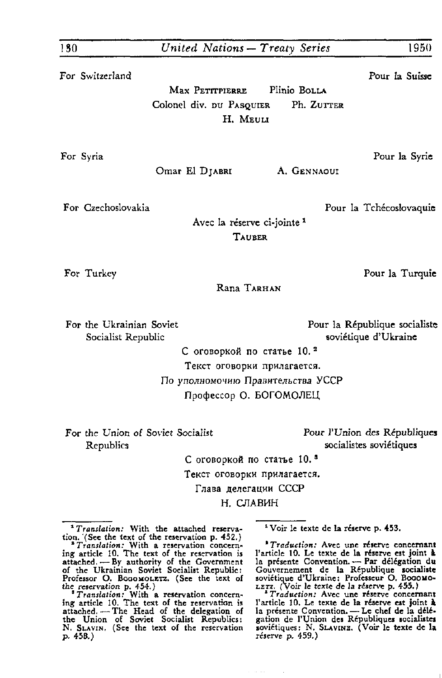| 130                                            | United Nations - Treaty Series                                   |                                                  | 1950                                                    |
|------------------------------------------------|------------------------------------------------------------------|--------------------------------------------------|---------------------------------------------------------|
| For Switzerland                                | Max PETITPIERRE                                                  | Plinio Bolla                                     | Pour la Suisse                                          |
|                                                | Colonel div. DU PASQUIER<br>H. MEULI                             | Ph. ZUTTER                                       |                                                         |
| For Syria                                      |                                                                  | A. GENNAOUI                                      | Pour la Syrie                                           |
|                                                | Omar El DJABRI                                                   |                                                  |                                                         |
| For Czechoslovakia                             |                                                                  |                                                  | Pour la Tchécoslovaquie                                 |
|                                                | Avec la réserve ci-jointe <sup>1</sup>                           |                                                  |                                                         |
|                                                | TAUBER                                                           |                                                  |                                                         |
| For Turkey                                     |                                                                  |                                                  | Pour la Turquie                                         |
|                                                | Rana TARHAN                                                      |                                                  |                                                         |
| For the Ukrainian Soviet                       |                                                                  |                                                  | Pour la République socialiste                           |
| Socialist Republic                             |                                                                  |                                                  | soviétique d'Ukraine                                    |
|                                                | С оговоркой по статье 10. 2                                      |                                                  |                                                         |
|                                                | Текст оговорки прилагается.<br>По уполномочню Правительства УССР |                                                  |                                                         |
|                                                | Профессор О. БОГОМОЛЕЦ                                           |                                                  |                                                         |
|                                                |                                                                  |                                                  |                                                         |
| For the Union of Soviet Socialist<br>Republics |                                                                  |                                                  | Pour l'Union des Républiques<br>socialistes soviétiques |
|                                                | С оговоркой по статье 10. <sup>3</sup>                           |                                                  |                                                         |
|                                                | Текст оговорки прилагается.                                      |                                                  |                                                         |
|                                                | Глава делегации СССР                                             |                                                  |                                                         |
|                                                | Н. СЛАВИН                                                        |                                                  |                                                         |
|                                                | <sup>2</sup> Translation: With the attached reserva-             | <sup>1</sup> Voir le texte de la réserve p. 453. |                                                         |

a caraca

ing article 10. The text of the reservation is l'article 10. Le texte de la réserve est joint à attached. — The Head of the delegation of<br>the Union of Soviet Socialist Republics:<br>N. SLAVIN. (See the text of the reservation the Union of Soviet Socialist Republics: gation de l'Union des Républiques socialistes<br>N. SLAVIN. (See the text of the reservation soviétiques: N. SLAVINE. (Voir le texte de la p. 458.) réserve p. 459.)

*'Translation:* With a reservation concern- \* *Traduction:* Avec une réserve concernant

tion. '(Sec the text of the reservation p. 452.)

ing article 10. The text of the reservation is l'article 10. Le texte de la réserve est joint à attached. — By authority of the Government la présente Convention. — Par délégation du of the Ukrainian Soviet Socialist Republic: Gouvernement de la République socialiste Professor O. BogoMOLETZ. (See the text of soviétique d'Ukraine: Professeur O. BogoMOLETZ. (See the text of soviétique d'Ukraine: Professeur O. BogoMOLETZ. (Voir le texte de la réserve p. 455.)<br>
"Translation: With a reserva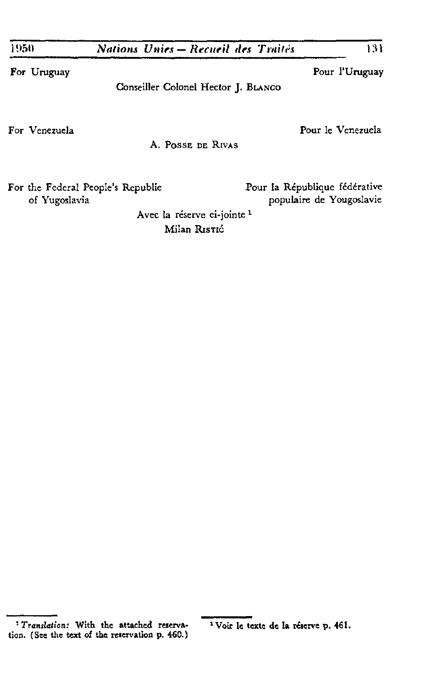| For Uruguay                                        | Conseiller Colonel Hector J. BLANCO | Pour l'Uruguay                                            |
|----------------------------------------------------|-------------------------------------|-----------------------------------------------------------|
| For Venezuela                                      | A. POSSE DE RIVAS                   | Pour le Venezuela                                         |
| For the Federal People's Republic<br>of Yugoslavia | Avec la réserve ci-jointe l         | Pour la République fédérative<br>populaire de Yougoslavie |

 $\overline{131}$ 

1950 **Nations Unies — Recueil des Traités** 

Avec la réserve ci-jointe Milan RISTIG

<sup>&</sup>lt;sup>1</sup> Translation: With the attached reserva- <sup>1</sup> Voir le texte de la réserve p. 461. tion. (See the text of the reservation p. 460.)